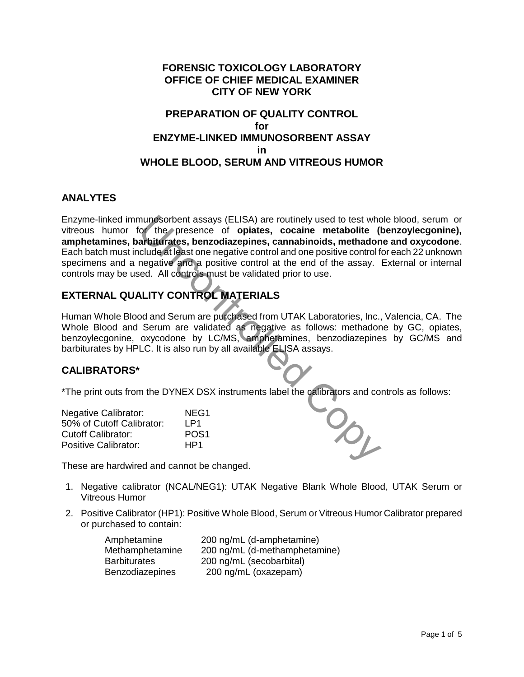### **FORENSIC TOXICOLOGY LABORATORY OFFICE OF CHIEF MEDICAL EXAMINER CITY OF NEW YORK**

## **PREPARATION OF QUALITY CONTROL for ENZYME-LINKED IMMUNOSORBENT ASSAY in WHOLE BLOOD, SERUM AND VITREOUS HUMOR**

#### **ANALYTES**

Enzyme-linked immunosorbent assays (ELISA) are routinely used to test whole blood, serum or vitreous humor for the presence of **opiates, cocaine metabolite (benzoylecgonine), amphetamines, barbiturates, benzodiazepines, cannabinoids, methadone and oxycodone**. Each batch must include at least one negative control and one positive control for each 22 unknown specimens and a negative and a positive control at the end of the assay. External or internal controls may be used. All controls must be validated prior to use. nunosorbent assays (ELISA) are routinely used to test where<br>
arbitraries, benzodiazepines, cocaine metabolite (I<br>
arbitraries, benzodiazepines, cannabinoids, methadom<br>
clude at least one negative control and one positive c

# **EXTERNAL QUALITY CONTROL MATERIALS**

Human Whole Blood and Serum are purchased from UTAK Laboratories, Inc., Valencia, CA. The Whole Blood and Serum are validated as negative as follows: methadone by GC, opiates, benzoylecgonine, oxycodone by LC/MS, amphetamines, benzodiazepines by GC/MS and barbiturates by HPLC. It is also run by all available ELISA assays.

#### **CALIBRATORS\***

\*The print outs from the DYNEX DSX instruments label the calibrators and controls as follows:

| <b>Negative Calibrator:</b> | NEG <sub>1</sub> |
|-----------------------------|------------------|
| 50% of Cutoff Calibrator:   | I P1             |
| Cutoff Calibrator:          | POS <sub>1</sub> |
| Positive Calibrator:        | HP1              |



These are hardwired and cannot be changed.

- 1. Negative calibrator (NCAL/NEG1): UTAK Negative Blank Whole Blood, UTAK Serum or Vitreous Humor
- 2. Positive Calibrator (HP1): Positive Whole Blood, Serum or Vitreous Humor Calibrator prepared or purchased to contain:

| Amphetamine            | 200 ng/mL (d-amphetamine)     |
|------------------------|-------------------------------|
| Methamphetamine        | 200 ng/mL (d-methamphetamine) |
| <b>Barbiturates</b>    | 200 ng/mL (secobarbital)      |
| <b>Benzodiazepines</b> | 200 ng/mL (oxazepam)          |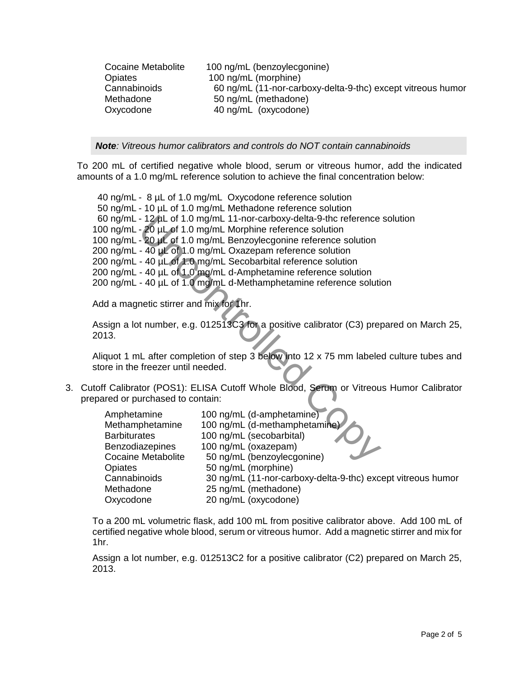| Cocaine Metabolite | 100 ng/mL (benzoylecgonine)                                 |
|--------------------|-------------------------------------------------------------|
| Opiates            | 100 ng/mL (morphine)                                        |
| Cannabinoids       | 60 ng/mL (11-nor-carboxy-delta-9-thc) except vitreous humor |
| Methadone          | 50 ng/mL (methadone)                                        |
| Oxycodone          | 40 ng/mL (oxycodone)                                        |

*Note: Vitreous humor calibrators and controls do NOT contain cannabinoids*

To 200 mL of certified negative whole blood, serum or vitreous humor, add the indicated amounts of a 1.0 mg/mL reference solution to achieve the final concentration below:

 40 ng/mL - 8 µL of 1.0 mg/mL Oxycodone reference solution 50 ng/mL - 10 µL of 1.0 mg/mL Methadone reference solution 60 ng/mL - 12 µL of 1.0 mg/mL 11-nor-carboxy-delta-9-thc reference solution 100 ng/mL - 20 µL of 1.0 mg/mL Morphine reference solution 100 ng/mL - 20 µL of 1.0 mg/mL Benzoylecgonine reference solution 200 ng/mL -  $40 \mu L$  of 1.0 mg/mL Oxazepam reference solution 200 ng/mL - 40 µL of 1.0 mg/mL Secobarbital reference solution 200 ng/mL - 40 µL of 1.0 mg/mL d-Amphetamine reference solution 200 ng/mL - 40 µL of 1.0 mg/mL d-Methamphetamine reference solution - 12 pL of 1.0 mg/mL 11-nor-carboxy-delta-9-thc reference<br>- 20 pL of 1.0 mg/mL Morphine reference solution<br>- 20 pL of 1.0 mg/mL Benzoylecgonine reference solution<br>- 40 pL of 1.0 mg/mL Dxazepam reference solution<br>- 40 pL o

Add a magnetic stirrer and mix for 1hr.

Assign a lot number, e.g. 012513C3 for a positive calibrator (C3) prepared on March 25, 2013.

Aliquot 1 mL after completion of step 3 below into 12 x 75 mm labeled culture tubes and store in the freezer until needed.

3. Cutoff Calibrator (POS1): ELISA Cutoff Whole Blood, Serum or Vitreous Humor Calibrator prepared or purchased to contain:

| Amphetamine               | 100 ng/mL (d-amphetamine)                                   |
|---------------------------|-------------------------------------------------------------|
| Methamphetamine           | 100 ng/mL (d-methamphetamine)                               |
| <b>Barbiturates</b>       | 100 ng/mL (secobarbital)                                    |
| <b>Benzodiazepines</b>    | 100 ng/mL (oxazepam)                                        |
| <b>Cocaine Metabolite</b> | 50 ng/mL (benzoylecgonine)                                  |
| Opiates                   | 50 ng/mL (morphine)                                         |
| Cannabinoids              | 30 ng/mL (11-nor-carboxy-delta-9-thc) except vitreous humor |
| Methadone                 | 25 ng/mL (methadone)                                        |
| Oxycodone                 | 20 ng/mL (oxycodone)                                        |

 To a 200 mL volumetric flask, add 100 mL from positive calibrator above. Add 100 mL of certified negative whole blood, serum or vitreous humor. Add a magnetic stirrer and mix for 1hr.

Assign a lot number, e.g. 012513C2 for a positive calibrator (C2) prepared on March 25, 2013.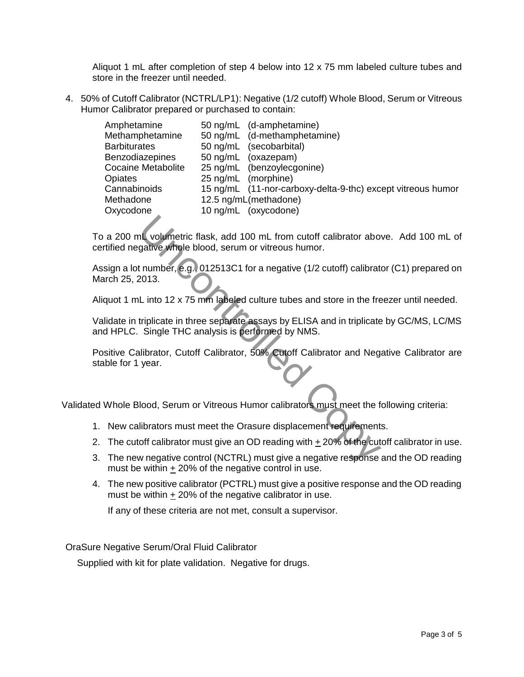Aliquot 1 mL after completion of step 4 below into 12 x 75 mm labeled culture tubes and store in the freezer until needed.

4. 50% of Cutoff Calibrator (NCTRL/LP1): Negative (1/2 cutoff) Whole Blood, Serum or Vitreous Humor Calibrator prepared or purchased to contain:

| Amphetamine               | 50 ng/mL (d-amphetamine)                                    |
|---------------------------|-------------------------------------------------------------|
| Methamphetamine           | 50 ng/mL (d-methamphetamine)                                |
| <b>Barbiturates</b>       | 50 ng/mL (secobarbital)                                     |
| <b>Benzodiazepines</b>    | 50 ng/mL (oxazepam)                                         |
| <b>Cocaine Metabolite</b> | 25 ng/mL (benzoylecgonine)                                  |
| <b>Opiates</b>            | 25 ng/mL (morphine)                                         |
| Cannabinoids              | 15 ng/mL (11-nor-carboxy-delta-9-thc) except vitreous humor |
| Methadone                 | 12.5 ng/mL(methadone)                                       |
| Oxycodone                 | 10 ng/mL (oxycodone)                                        |

To a 200 mL volumetric flask, add 100 mL from cutoff calibrator above. Add 100 mL of certified negative whole blood, serum or vitreous humor. In volumetric flask, add 100 mL from cutoff calibrator abordative whole blood, serum or vitreous humor.<br>
the number, e.g., 012513C1 for a negative (1/2 cutoff) calibrate<br>
2013.<br>
Linto 12 x 75 mm labeled culture tubes and

Assign a lot number, e.g., 012513C1 for a negative (1/2 cutoff) calibrator (C1) prepared on March 25, 2013.

Aliquot 1 mL into 12 x 75 mm labeled culture tubes and store in the freezer until needed.

Validate in triplicate in three separate assays by ELISA and in triplicate by GC/MS, LC/MS and HPLC. Single THC analysis is performed by NMS.

Positive Calibrator, Cutoff Calibrator, 50% Cutoff Calibrator and Negative Calibrator are stable for 1 year.

Validated Whole Blood, Serum or Vitreous Humor calibrators must meet the following criteria:

- 1. New calibrators must meet the Orasure displacement requirements.
- 2. The cutoff calibrator must give an OD reading with + 20% of the cutoff calibrator in use.
- 3. The new negative control (NCTRL) must give a negative response and the OD reading must be within + 20% of the negative control in use.
- 4. The new positive calibrator (PCTRL) must give a positive response and the OD reading must be within + 20% of the negative calibrator in use.

If any of these criteria are not met, consult a supervisor.

OraSure Negative Serum/Oral Fluid Calibrator

Supplied with kit for plate validation. Negative for drugs.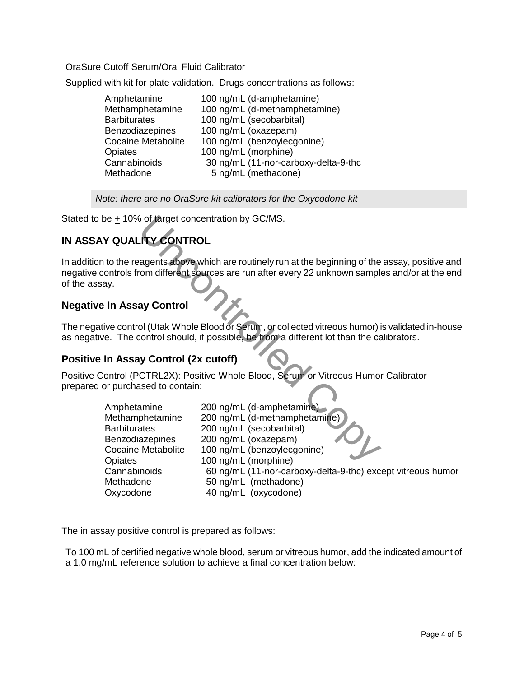OraSure Cutoff Serum/Oral Fluid Calibrator

Supplied with kit for plate validation. Drugs concentrations as follows:

| Amphetamine<br>100 ng/mL (d-amphetamine)                 |  |
|----------------------------------------------------------|--|
| Methamphetamine<br>100 ng/mL (d-methamphetamine)         |  |
| 100 ng/mL (secobarbital)<br><b>Barbiturates</b>          |  |
| 100 ng/mL (oxazepam)<br><b>Benzodiazepines</b>           |  |
| 100 ng/mL (benzoylecgonine)<br><b>Cocaine Metabolite</b> |  |
| 100 ng/mL (morphine)<br>Opiates                          |  |
| Cannabinoids<br>30 ng/mL (11-nor-carboxy-delta-9-thc     |  |
| 5 ng/mL (methadone)<br>Methadone                         |  |

*Note: there are no OraSure kit calibrators for the Oxycodone kit*

Stated to be  $\pm$  10% of target concentration by GC/MS.

# **IN ASSAY QUALITY CONTROL**

In addition to the reagents above which are routinely run at the beginning of the assay, positive and negative controls from different sources are run after every 22 unknown samples and/or at the end of the assay.

## **Negative In Assay Control**

The negative control (Utak Whole Blood or Serum, or collected vitreous humor) is validated in-house as negative. The control should, if possible, be from a different lot than the calibrators.

#### **Positive In Assay Control (2x cutoff)**

Positive Control (PCTRL2X): Positive Whole Blood, Serum or Vitreous Humor Calibrator prepared or purchased to contain:

|                                               | be $\pm$ 10% of target concentration by GC/MS.                                                                                                                                       |
|-----------------------------------------------|--------------------------------------------------------------------------------------------------------------------------------------------------------------------------------------|
| Y QUALITY CONTROL                             |                                                                                                                                                                                      |
| эy.                                           | to the reagents above which are routinely run at the beginning of the assay, positive and<br>ontrols from different sources are run after every 22 unknown samples and/or at the end |
| <b>In Assay Control</b>                       |                                                                                                                                                                                      |
|                                               | ive control (Utak Whole Blood or Serum, or collected vitreous humor) is validated in-house<br>e. The control should, if possible, be from a different lot than the calibrators.      |
| In Assay Control (2x cutoff)                  |                                                                                                                                                                                      |
| or purchased to contain:                      | ontrol (PCTRL2X): Positive Whole Blood, Serum or Vitreous Humor Calibrator                                                                                                           |
| Amphetamine                                   | 200 ng/mL (d-amphetamine)                                                                                                                                                            |
| Methamphetamine                               | 200 ng/mL (d-methamphetamine)                                                                                                                                                        |
| <b>Barbiturates</b><br><b>Benzodiazepines</b> | 200 ng/mL (secobarbital)<br>200 ng/mL (oxazepam)                                                                                                                                     |
| <b>Cocaine Metabolite</b>                     | 100 ng/mL (benzoylecgonine)                                                                                                                                                          |
| Opiates                                       | 100 ng/mL (morphine)                                                                                                                                                                 |
| Cannabinoids                                  | 60 ng/mL (11-nor-carboxy-delta-9-thc) except vitreous humor                                                                                                                          |
| Methadone                                     | 50 ng/mL (methadone)                                                                                                                                                                 |
| Oxycodone                                     | 40 ng/mL (oxycodone)                                                                                                                                                                 |

The in assay positive control is prepared as follows:

To 100 mL of certified negative whole blood, serum or vitreous humor, add the indicated amount of a 1.0 mg/mL reference solution to achieve a final concentration below: